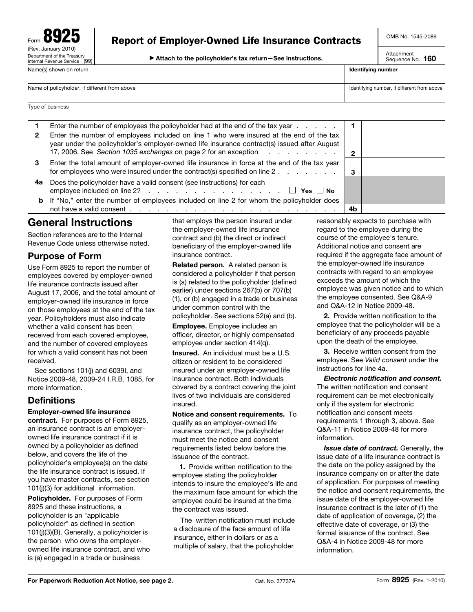| <b>92!</b><br>Ð<br>Form                                        |
|----------------------------------------------------------------|
| (Rev. January 2010)                                            |
| Department of the Treasury<br>Internal Revenue Service<br>(99) |
| Name(s) shown on return                                        |

© **Attach to the policyholder's tax return—See instructions.** 

OMB No. 1545-2089

Attachment Sequence No. **160** 

| Name(s) shown on return                       | Identifying number                          |
|-----------------------------------------------|---------------------------------------------|
| Name of policyholder, if different from above | Identifying number, if different from above |
| Type of business                              |                                             |

|    | Enter the number of employees the policyholder had at the end of the tax year                                                                                                                                                                             |    |  |
|----|-----------------------------------------------------------------------------------------------------------------------------------------------------------------------------------------------------------------------------------------------------------|----|--|
|    | Enter the number of employees included on line 1 who were insured at the end of the tax<br>year under the policyholder's employer-owned life insurance contract(s) issued after August<br>17, 2006. See Section 1035 exchanges on page 2 for an exception |    |  |
| З  | Enter the total amount of employer-owned life insurance in force at the end of the tax year<br>for employees who were insured under the contract(s) specified on line 2.                                                                                  | -3 |  |
| 4a | Does the policyholder have a valid consent (see instructions) for each<br>employee included on line 2? $\Box$ Yes $\Box$ No                                                                                                                               |    |  |
|    | <b>b</b> If "No," enter the number of employees included on line 2 for whom the policyholder does                                                                                                                                                         |    |  |
|    |                                                                                                                                                                                                                                                           | 4b |  |

# **General Instructions**

Section references are to the Internal Revenue Code unless otherwise noted.

## **Purpose of Form**

Use Form 8925 to report the number of employees covered by employer-owned life insurance contracts issued after August 17, 2006, and the total amount of employer-owned life insurance in force on those employees at the end of the tax year. Policyholders must also indicate whether a valid consent has been received from each covered employee, and the number of covered employees for which a valid consent has not been received.

See sections 101(j) and 6039I, and Notice 2009-48, 2009-24 I.R.B. 1085, for more information.

## **Definitions**

#### **Employer-owned life insurance**

**contract.** For purposes of Form 8925, an insurance contract is an employerowned life insurance contract if it is owned by a policyholder as defined below, and covers the life of the policyholder's employee(s) on the date the life insurance contract is issued. If you have master contracts, see section 101(j)(3) for additional information.

**Policyholder.** For purposes of Form 8925 and these instructions, a policyholder is an "applicable policyholder" as defined in section 101(j)(3)(B). Generally, a policyholder is the person who owns the employerowned life insurance contract, and who is (a) engaged in a trade or business

that employs the person insured under the employer-owned life insurance contract and (b) the direct or indirect beneficiary of the employer-owned life insurance contract.

**Related person.** A related person is considered a policyholder if that person is (a) related to the policyholder (defined earlier) under sections 267(b) or 707(b) (1), or (b) engaged in a trade or business under common control with the policyholder. See sections 52(a) and (b).

**Employee.** Employee includes an officer, director, or highly compensated employee under section 414(q).

**Insured.** An individual must be a U.S. citizen or resident to be considered insured under an employer-owned life insurance contract. Both individuals covered by a contract covering the joint lives of two individuals are considered insured.

**Notice and consent requirements.** To qualify as an employer-owned life insurance contract, the policyholder must meet the notice and consent requirements listed below before the issuance of the contract.

**1.** Provide written notification to the employee stating the policyholder intends to insure the employee's life and the maximum face amount for which the employee could be insured at the time the contract was issued.

The written notification must include a disclosure of the face amount of life insurance, either in dollars or as a multiple of salary, that the policyholder

reasonably expects to purchase with regard to the employee during the course of the employee's tenure. Additional notice and consent are required if the aggregate face amount of the employer-owned life insurance contracts with regard to an employee exceeds the amount of which the employee was given notice and to which the employee consented. See Q&A-9 and Q&A-12 in Notice 2009-48.

**2.** Provide written notification to the employee that the policyholder will be a beneficiary of any proceeds payable upon the death of the employee.

**3.** Receive written consent from the employee. See *Valid consent* under the instructions for line 4a.

*Electronic notification and consent.* The written notification and consent requirement can be met electronically only if the system for electronic notification and consent meets requirements 1 through 3, above. See Q&A-11 in Notice 2009-48 for more information.

*Issue date of contract.* Generally, the issue date of a life insurance contract is the date on the policy assigned by the insurance company on or after the date of application. For purposes of meeting the notice and consent requirements, the issue date of the employer-owned life insurance contract is the later of (1) the date of application of coverage, (2) the effective date of coverage, or (3) the formal issuance of the contract. See Q&A-4 in Notice 2009-48 for more information.